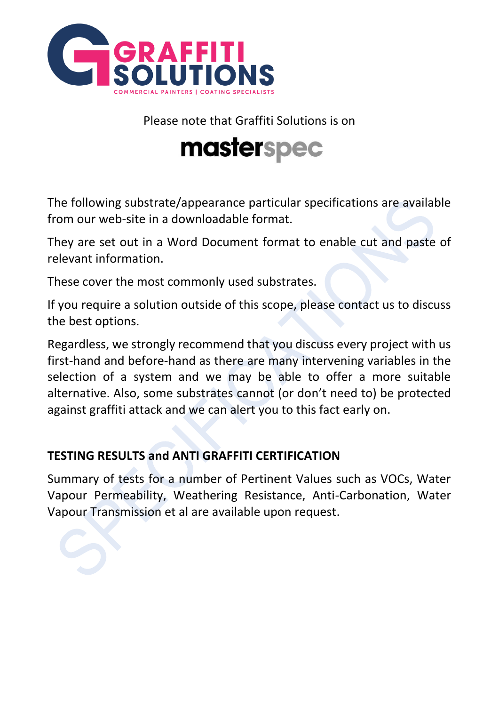

Please note that Graffiti Solutions is on

# masterspec

The following substrate/appearance particular specifications are available from our web-site in a downloadable format.

They are set out in a Word Document format to enable cut and paste of relevant information.

These cover the most commonly used substrates.

If you require a solution outside of this scope, please contact us to discuss the best options.

Regardless, we strongly recommend that you discuss every project with us first-hand and before-hand as there are many intervening variables in the selection of a system and we may be able to offer a more suitable alternative. Also, some substrates cannot (or don't need to) be protected against graffiti attack and we can alert you to this fact early on.

### **TESTING RESULTS and ANTI GRAFFITI CERTIFICATION**

Summary of tests for a number of Pertinent Values such as VOCs, Water Vapour Permeability, Weathering Resistance, Anti-Carbonation, Water Vapour Transmission et al are available upon request.

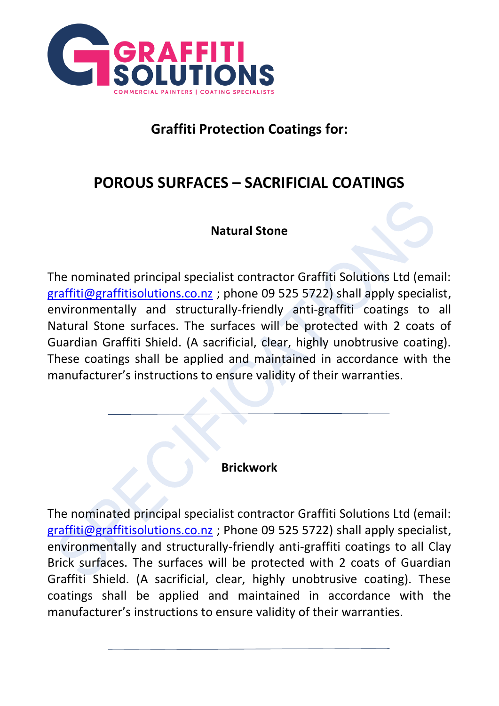

### **Graffiti Protection Coatings for:**

# **POROUS SURFACES – SACRIFICIAL COATINGS**

#### **Natural Stone**

The nominated principal specialist contractor Graffiti Solutions Ltd (email: [graffiti@graffitisolutions.co.nz](mailto:graffiti@graffitisolutions.co.nz) ; phone 09 525 5722) shall apply specialist, environmentally and structurally-friendly anti-graffiti coatings to all Natural Stone surfaces. The surfaces will be protected with 2 coats of Guardian Graffiti Shield. (A sacrificial, clear, highly unobtrusive coating). These coatings shall be applied and maintained in accordance with the manufacturer's instructions to ensure validity of their warranties.

#### **Brickwork**

The nominated principal specialist contractor Graffiti Solutions Ltd (email: [graffiti@graffitisolutions.co.nz](mailto:graffiti@graffitisolutions.co.nz) ; Phone 09 525 5722) shall apply specialist, environmentally and structurally-friendly anti-graffiti coatings to all Clay Brick surfaces. The surfaces will be protected with 2 coats of Guardian Graffiti Shield. (A sacrificial, clear, highly unobtrusive coating). These coatings shall be applied and maintained in accordance with the manufacturer's instructions to ensure validity of their warranties.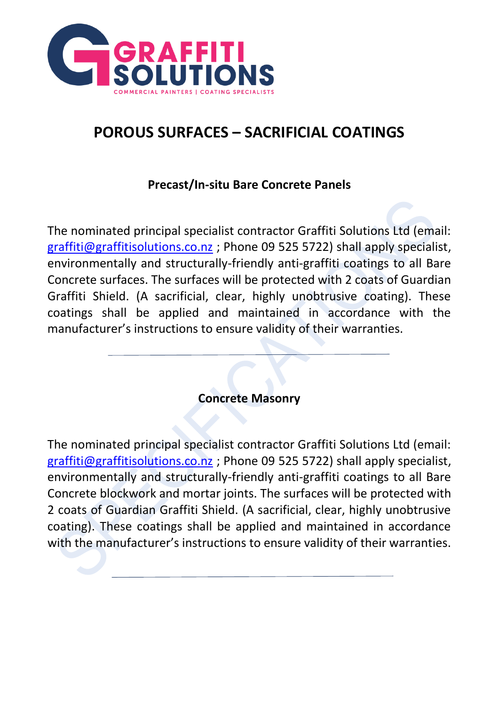

# **POROUS SURFACES – SACRIFICIAL COATINGS**

#### **Precast/In-situ Bare Concrete Panels**

The nominated principal specialist contractor Graffiti Solutions Ltd (email: [graffiti@graffitisolutions.co.nz](mailto:graffiti@graffitisolutions.co.nz) ; Phone 09 525 5722) shall apply specialist, environmentally and structurally-friendly anti-graffiti coatings to all Bare Concrete surfaces. The surfaces will be protected with 2 coats of Guardian Graffiti Shield. (A sacrificial, clear, highly unobtrusive coating). These coatings shall be applied and maintained in accordance with the manufacturer's instructions to ensure validity of their warranties.

**Concrete Masonry**

The nominated principal specialist contractor Graffiti Solutions Ltd (email: [graffiti@graffitisolutions.co.nz](mailto:graffiti@graffitisolutions.co.nz) ; Phone 09 525 5722) shall apply specialist, environmentally and structurally-friendly anti-graffiti coatings to all Bare Concrete blockwork and mortar joints. The surfaces will be protected with 2 coats of Guardian Graffiti Shield. (A sacrificial, clear, highly unobtrusive coating). These coatings shall be applied and maintained in accordance with the manufacturer's instructions to ensure validity of their warranties.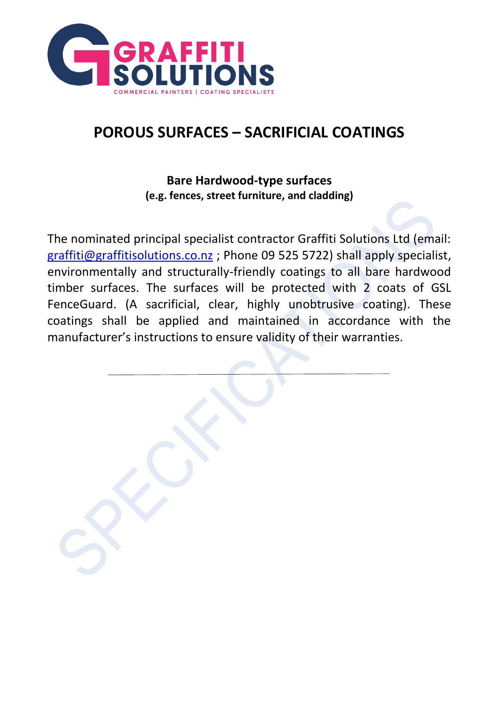

# **POROUS SURFACES – SACRIFICIAL COATINGS**

#### **Bare Hardwood-type surfaces (e.g. fences, street furniture, and cladding)**

The nominated principal specialist contractor Graffiti Solutions Ltd (email: [graffiti@graffitisolutions.co.nz](mailto:graffiti@graffitisolutions.co.nz) ; Phone 09 525 5722) shall apply specialist, environmentally and structurally-friendly coatings to all bare hardwood timber surfaces. The surfaces will be protected with 2 coats of GSL FenceGuard. (A sacrificial, clear, highly unobtrusive coating). These coatings shall be applied and maintained in accordance with the manufacturer's instructions to ensure validity of their warranties.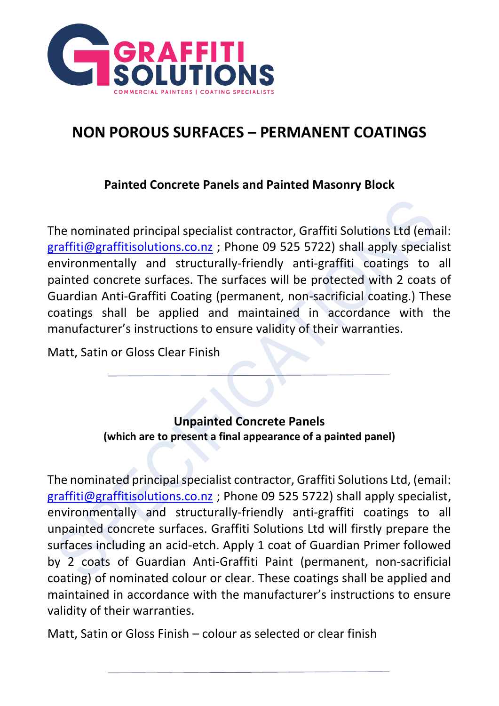

#### **Painted Concrete Panels and Painted Masonry Block**

The nominated principal specialist contractor, Graffiti Solutions Ltd (email: [graffiti@graffitisolutions.co.nz](mailto:graffiti@graffitisolutions.co.nz) ; Phone 09 525 5722) shall apply specialist environmentally and structurally-friendly anti-graffiti coatings to all painted concrete surfaces. The surfaces will be protected with 2 coats of Guardian Anti-Graffiti Coating (permanent, non-sacrificial coating.) These coatings shall be applied and maintained in accordance with the manufacturer's instructions to ensure validity of their warranties.

Matt, Satin or Gloss Clear Finish

### **Unpainted Concrete Panels (which are to present a final appearance of a painted panel)**

The nominated principal specialist contractor, Graffiti Solutions Ltd, (email: [graffiti@graffitisolutions.co.nz](mailto:graffiti@graffitisolutions.co.nz) ; Phone 09 525 5722) shall apply specialist, environmentally and structurally-friendly anti-graffiti coatings to all unpainted concrete surfaces. Graffiti Solutions Ltd will firstly prepare the surfaces including an acid-etch. Apply 1 coat of Guardian Primer followed by 2 coats of Guardian Anti-Graffiti Paint (permanent, non-sacrificial coating) of nominated colour or clear. These coatings shall be applied and maintained in accordance with the manufacturer's instructions to ensure validity of their warranties.

Matt, Satin or Gloss Finish – colour as selected or clear finish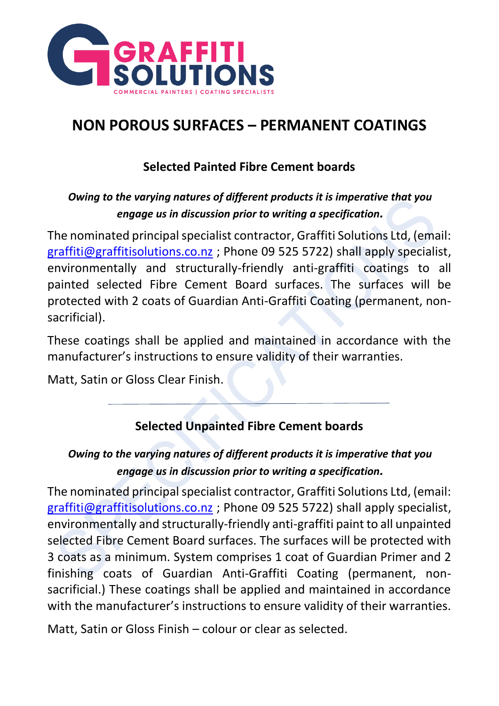

### **Selected Painted Fibre Cement boards**

#### *Owing to the varying natures of different products it is imperative that you engage us in discussion prior to writing a specification.*

The nominated principal specialist contractor, Graffiti Solutions Ltd, (email: [graffiti@graffitisolutions.co.nz](mailto:graffiti@graffitisolutions.co.nz) ; Phone 09 525 5722) shall apply specialist, environmentally and structurally-friendly anti-graffiti coatings to all painted selected Fibre Cement Board surfaces. The surfaces will be protected with 2 coats of Guardian Anti-Graffiti Coating (permanent, nonsacrificial).

These coatings shall be applied and maintained in accordance with the manufacturer's instructions to ensure validity of their warranties.

Matt, Satin or Gloss Clear Finish.

### **Selected Unpainted Fibre Cement boards**

#### *Owing to the varying natures of different products it is imperative that you engage us in discussion prior to writing a specification.*

The nominated principal specialist contractor, Graffiti Solutions Ltd, (email: [graffiti@graffitisolutions.co.nz](mailto:graffiti@graffitisolutions.co.nz) ; Phone 09 525 5722) shall apply specialist, environmentally and structurally-friendly anti-graffiti paint to all unpainted selected Fibre Cement Board surfaces. The surfaces will be protected with 3 coats as a minimum. System comprises 1 coat of Guardian Primer and 2 finishing coats of Guardian Anti-Graffiti Coating (permanent, nonsacrificial.) These coatings shall be applied and maintained in accordance with the manufacturer's instructions to ensure validity of their warranties.

Matt, Satin or Gloss Finish – colour or clear as selected.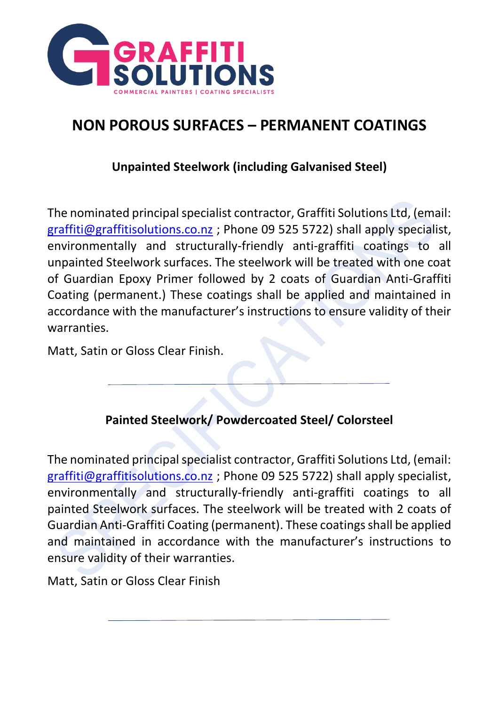

#### **Unpainted Steelwork (including Galvanised Steel)**

The nominated principal specialist contractor, Graffiti Solutions Ltd, (email: [graffiti@graffitisolutions.co.nz](mailto:graffiti@graffitisolutions.co.nz) ; Phone 09 525 5722) shall apply specialist, environmentally and structurally-friendly anti-graffiti coatings to all unpainted Steelwork surfaces. The steelwork will be treated with one coat of Guardian Epoxy Primer followed by 2 coats of Guardian Anti-Graffiti Coating (permanent.) These coatings shall be applied and maintained in accordance with the manufacturer's instructions to ensure validity of their warranties.

Matt, Satin or Gloss Clear Finish.

### **Painted Steelwork/ Powdercoated Steel/ Colorsteel**

The nominated principal specialist contractor, Graffiti Solutions Ltd, (email: [graffiti@graffitisolutions.co.nz](mailto:graffiti@graffitisolutions.co.nz) ; Phone 09 525 5722) shall apply specialist, environmentally and structurally-friendly anti-graffiti coatings to all painted Steelwork surfaces. The steelwork will be treated with 2 coats of Guardian Anti-Graffiti Coating (permanent). These coatings shall be applied and maintained in accordance with the manufacturer's instructions to ensure validity of their warranties.

Matt, Satin or Gloss Clear Finish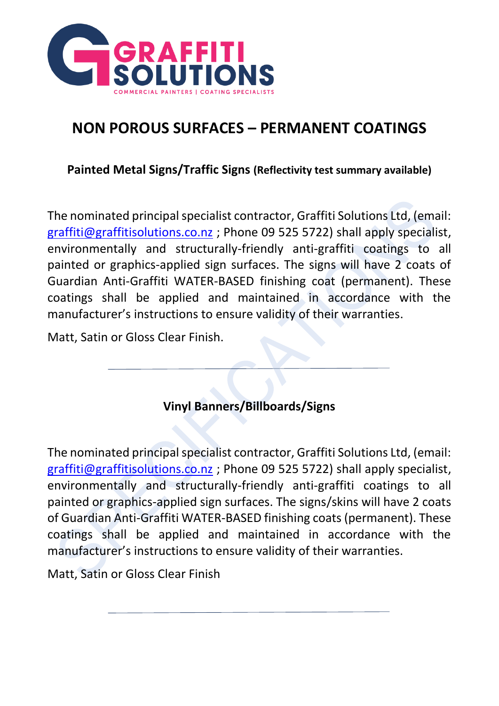

**Painted Metal Signs/Traffic Signs (Reflectivity test summary available)**

The nominated principal specialist contractor, Graffiti Solutions Ltd, (email: [graffiti@graffitisolutions.co.nz](mailto:graffiti@graffitisolutions.co.nz) ; Phone 09 525 5722) shall apply specialist, environmentally and structurally-friendly anti-graffiti coatings to all painted or graphics-applied sign surfaces. The signs will have 2 coats of Guardian Anti-Graffiti WATER-BASED finishing coat (permanent). These coatings shall be applied and maintained in accordance with the manufacturer's instructions to ensure validity of their warranties.

Matt, Satin or Gloss Clear Finish.

### **Vinyl Banners/Billboards/Signs**

The nominated principal specialist contractor, Graffiti Solutions Ltd, (email: [graffiti@graffitisolutions.co.nz](mailto:graffiti@graffitisolutions.co.nz) ; Phone 09 525 5722) shall apply specialist, environmentally and structurally-friendly anti-graffiti coatings to all painted or graphics-applied sign surfaces. The signs/skins will have 2 coats of Guardian Anti-Graffiti WATER-BASED finishing coats (permanent). These coatings shall be applied and maintained in accordance with the manufacturer's instructions to ensure validity of their warranties.

Matt, Satin or Gloss Clear Finish